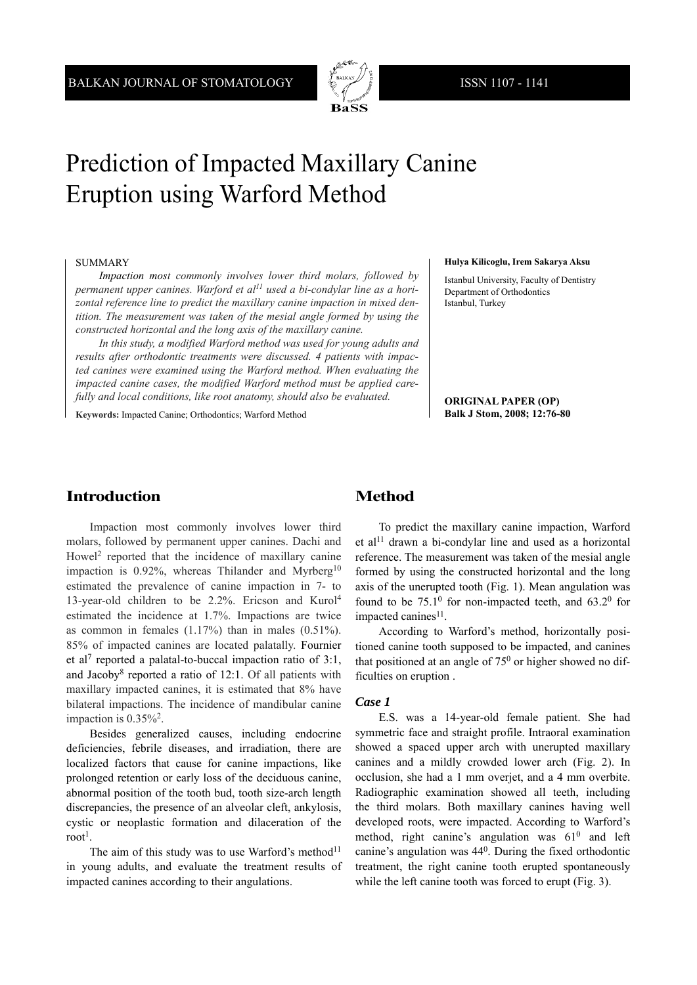

# Prediction of Impacted Maxillary Canine Eruption using Warford Method

### SUMMARY

*Impaction most commonly involves lower third molars, followed by permanent upper canines. Warford et al11 used a bi-condylar line as a horizontal reference line to predict the maxillary canine impaction in mixed dentition. The measurement was taken of the mesial angle formed by using the constructed horizontal and the long axis of the maxillary canine.* 

*In this study, a modified Warford method was used for young adults and results after orthodontic treatments were discussed. 4 patients with impacted canines were examined using the Warford method. When evaluating the impacted canine cases, the modified Warford method must be applied carefully and local conditions, like root anatomy, should also be evaluated.* 

**Keywords:** Impacted Canine; Orthodontics; Warford Method

#### **Hulya Kilicoglu, Irem Sakarya Aksu**

Istanbul University, Faculty of Dentistry Department of Orthodontics Istanbul, Turkey

**ORIGINAL PAPER (OP) Balk J Stom, 2008; 12:76-80**

# **Introduction**

Impaction most commonly involves lower third molars, followed by permanent upper canines. Dachi and Howel<sup>2</sup> reported that the incidence of maxillary canine impaction is  $0.92\%$ , whereas Thilander and Myrberg<sup>10</sup> estimated the prevalence of canine impaction in 7- to 13-year-old children to be 2.2%. Ericson and Kurol4 estimated the incidence at 1.7%. Impactions are twice as common in females  $(1.17%)$  than in males  $(0.51%)$ . 85% of impacted canines are located palatally. Fournier et al7 reported a palatal-to-buccal impaction ratio of 3:1, and Jacoby8 reported a ratio of 12:1. Of all patients with maxillary impacted canines, it is estimated that 8% have bilateral impactions. The incidence of mandibular canine impaction is  $0.35\%^2$ .

Besides generalized causes, including endocrine deficiencies, febrile diseases, and irradiation, there are localized factors that cause for canine impactions, like prolonged retention or early loss of the deciduous canine, abnormal position of the tooth bud, tooth size-arch length discrepancies, the presence of an alveolar cleft, ankylosis, cystic or neoplastic formation and dilaceration of the root<sup>1</sup>.

The aim of this study was to use Warford's method<sup>11</sup> in young adults, and evaluate the treatment results of impacted canines according to their angulations.

## **Method**

To predict the maxillary canine impaction, Warford et al<sup>11</sup> drawn a bi-condylar line and used as a horizontal reference. The measurement was taken of the mesial angle formed by using the constructed horizontal and the long axis of the unerupted tooth (Fig. 1). Mean angulation was found to be  $75.1^{\circ}$  for non-impacted teeth, and  $63.2^{\circ}$  for impacted canines<sup>11</sup>.

According to Warford's method, horizontally positioned canine tooth supposed to be impacted, and canines that positioned at an angle of  $75<sup>0</sup>$  or higher showed no difficulties on eruption .

### *Case 1*

E.S. was a 14-year-old female patient. She had symmetric face and straight profile. Intraoral examination showed a spaced upper arch with unerupted maxillary canines and a mildly crowded lower arch (Fig. 2). In occlusion, she had a 1 mm overjet, and a 4 mm overbite. Radiographic examination showed all teeth, including the third molars. Both maxillary canines having well developed roots, were impacted. According to Warford's method, right canine's angulation was  $61<sup>0</sup>$  and left canine's angulation was  $44<sup>0</sup>$ . During the fixed orthodontic treatment, the right canine tooth erupted spontaneously while the left canine tooth was forced to erupt (Fig. 3).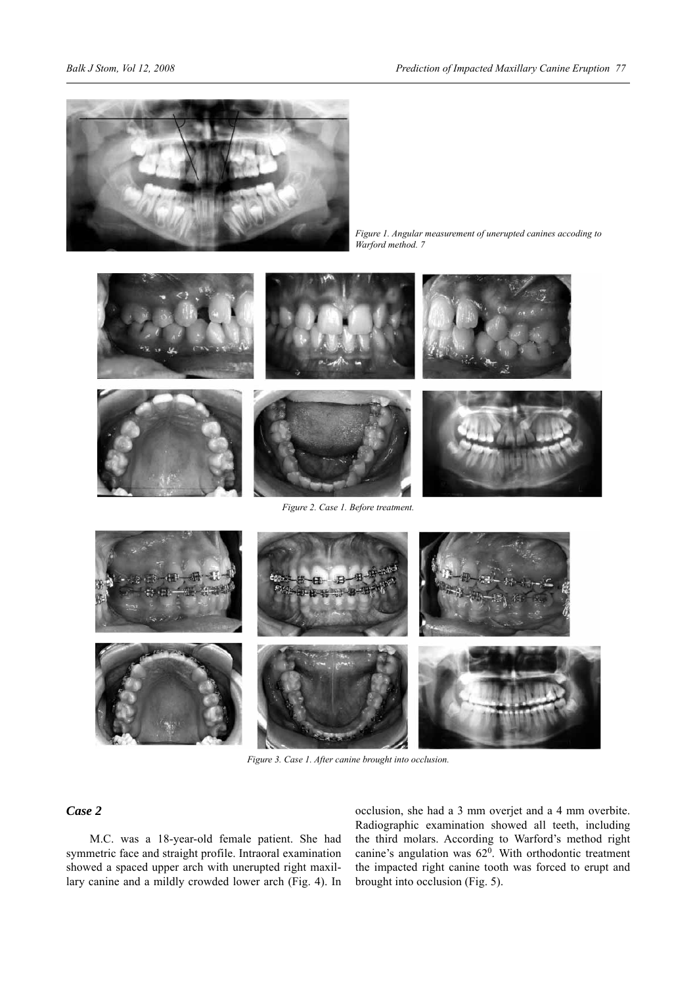

*Figure 1. Angular measurement of unerupted canines accoding to Warford method. 7*



*Figure 3. Case 1. After canine brought into occlusion.*

## *Case 2*

M.C. was a 18-year-old female patient. She had symmetric face and straight profile. Intraoral examination showed a spaced upper arch with unerupted right maxillary canine and a mildly crowded lower arch (Fig. 4). In

occlusion, she had a 3 mm overjet and a 4 mm overbite. Radiographic examination showed all teeth, including the third molars. According to Warford's method right canine's angulation was  $62^0$ . With orthodontic treatment the impacted right canine tooth was forced to erupt and brought into occlusion (Fig. 5).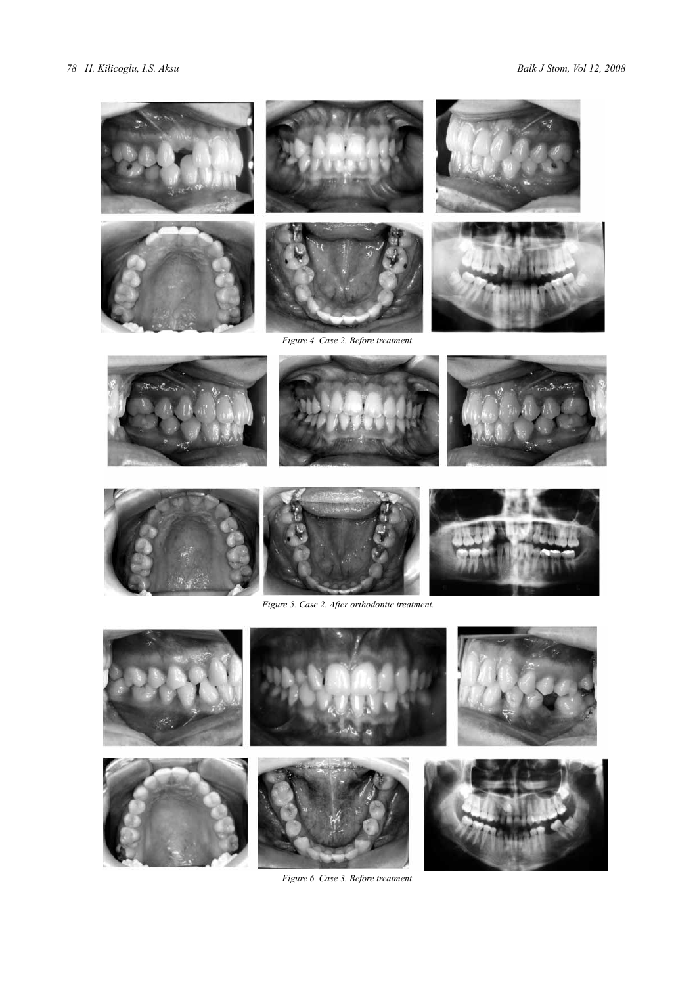













*Figure 6. Case 3. Before treatment.*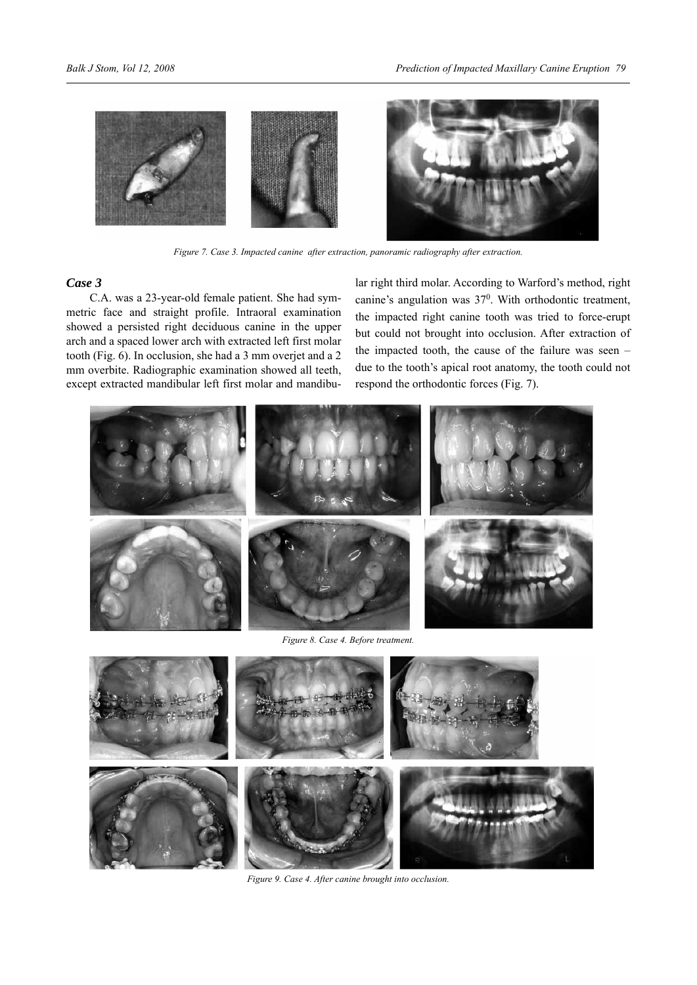

*Figure 7. Case 3. Impacted canine after extraction, panoramic radiography after extraction.*

## *Case 3*

C.A. was a 23-year-old female patient. She had symmetric face and straight profile. Intraoral examination showed a persisted right deciduous canine in the upper arch and a spaced lower arch with extracted left first molar tooth (Fig. 6). In occlusion, she had a 3 mm overjet and a 2 mm overbite. Radiographic examination showed all teeth, except extracted mandibular left first molar and mandibu-

lar right third molar. According to Warford's method, right canine's angulation was  $37^0$ . With orthodontic treatment, the impacted right canine tooth was tried to force-erupt but could not brought into occlusion. After extraction of the impacted tooth, the cause of the failure was seen – due to the tooth's apical root anatomy, the tooth could not respond the orthodontic forces (Fig. 7).



*Figure 8. Case 4. Before treatment.*



*Figure 9. Case 4. After canine brought into occlusion.*